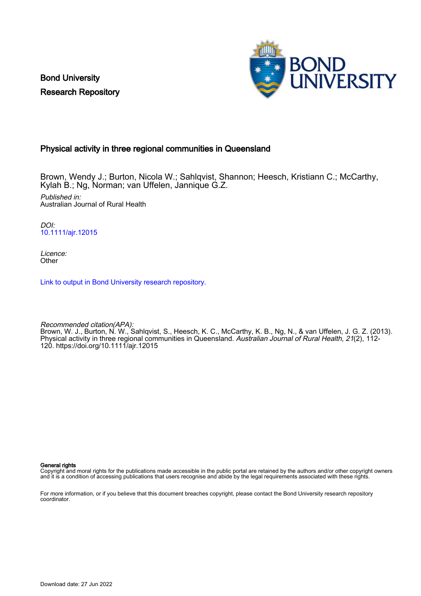Bond University Research Repository



## Physical activity in three regional communities in Queensland

Brown, Wendy J.; Burton, Nicola W.; Sahlqvist, Shannon; Heesch, Kristiann C.; McCarthy, Kylah B.; Ng, Norman; van Uffelen, Jannique G.Z. Published in: Australian Journal of Rural Health

DOI: [10.1111/ajr.12015](https://doi.org/10.1111/ajr.12015)

Licence: **Other** 

[Link to output in Bond University research repository.](https://research.bond.edu.au/en/publications/02c7ee7d-2758-4dc4-a988-43f95af748ea)

Recommended citation(APA): Brown, W. J., Burton, N. W., Sahlqvist, S., Heesch, K. C., McCarthy, K. B., Ng, N., & van Uffelen, J. G. Z. (2013). Physical activity in three regional communities in Queensland. *Australian Journal of Rural Health, 21*(2), 112-120.<https://doi.org/10.1111/ajr.12015>

General rights

Copyright and moral rights for the publications made accessible in the public portal are retained by the authors and/or other copyright owners and it is a condition of accessing publications that users recognise and abide by the legal requirements associated with these rights.

For more information, or if you believe that this document breaches copyright, please contact the Bond University research repository coordinator.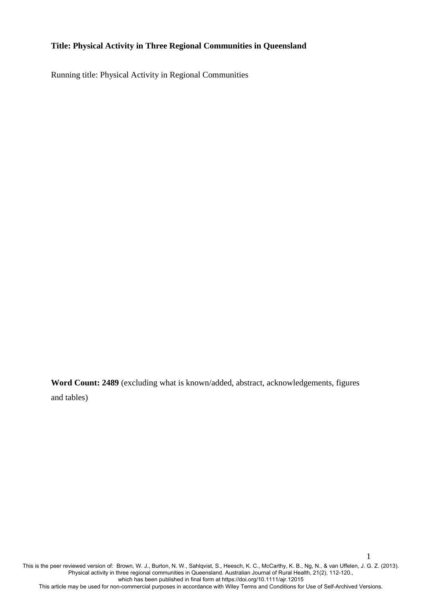# **Title: Physical Activity in Three Regional Communities in Queensland**

Running title: Physical Activity in Regional Communities

**Word Count: 2489** (excluding what is known/added, abstract, acknowledgements, figures and tables)

This is the peer reviewed version of: Brown, W. J., Burton, N. W., Sahlqvist, S., Heesch, K. C., McCarthy, K. B., Ng, N., & van Uffelen, J. G. Z. (2013). Physical activity in three regional communities in Queensland. Australian Journal of Rural Health, 21(2), 112-120., which has been published in final form at https://doi.org/10.1111/ajr.12015 This article may be used for non-commercial purposes in accordance with Wiley Terms and Conditions for Use of Self-Archived Versions.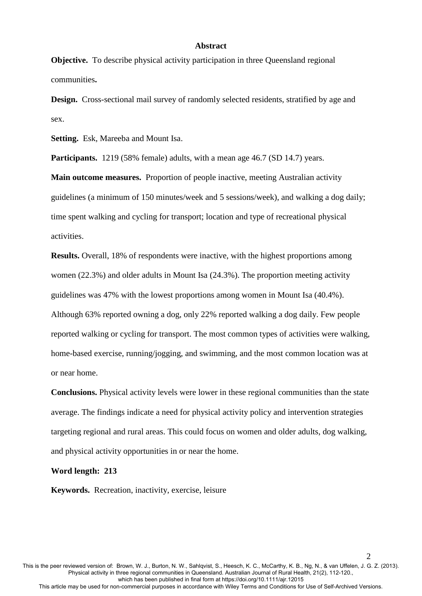#### **Abstract**

**Objective.** To describe physical activity participation in three Queensland regional communities**.**

**Design.** Cross-sectional mail survey of randomly selected residents, stratified by age and sex.

**Setting.** Esk, Mareeba and Mount Isa.

**Participants.** 1219 (58% female) adults, with a mean age 46.7 (SD 14.7) years.

**Main outcome measures.** Proportion of people inactive, meeting Australian activity guidelines (a minimum of 150 minutes/week and 5 sessions/week), and walking a dog daily; time spent walking and cycling for transport; location and type of recreational physical activities.

**Results.** Overall, 18% of respondents were inactive, with the highest proportions among women (22.3%) and older adults in Mount Isa (24.3%). The proportion meeting activity guidelines was 47% with the lowest proportions among women in Mount Isa (40.4%). Although 63% reported owning a dog, only 22% reported walking a dog daily. Few people reported walking or cycling for transport. The most common types of activities were walking, home-based exercise, running/jogging, and swimming, and the most common location was at or near home.

**Conclusions.** Physical activity levels were lower in these regional communities than the state average. The findings indicate a need for physical activity policy and intervention strategies targeting regional and rural areas. This could focus on women and older adults, dog walking, and physical activity opportunities in or near the home.

## **Word length: 213**

**Keywords.** Recreation, inactivity, exercise, leisure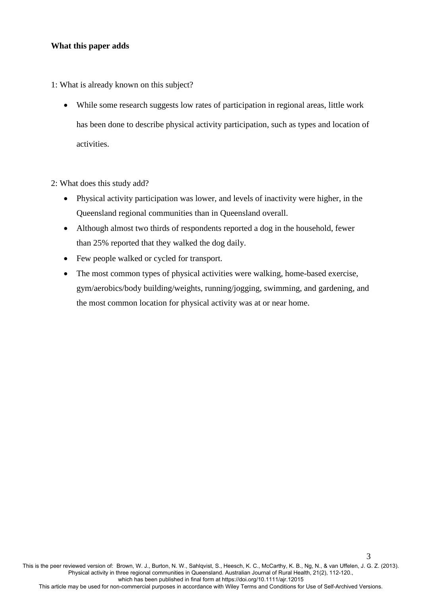## **What this paper adds**

1: What is already known on this subject?

 While some research suggests low rates of participation in regional areas, little work has been done to describe physical activity participation, such as types and location of activities.

2: What does this study add?

- Physical activity participation was lower, and levels of inactivity were higher, in the Queensland regional communities than in Queensland overall.
- Although almost two thirds of respondents reported a dog in the household, fewer than 25% reported that they walked the dog daily.
- Few people walked or cycled for transport.
- The most common types of physical activities were walking, home-based exercise, gym/aerobics/body building/weights, running/jogging, swimming, and gardening, and the most common location for physical activity was at or near home.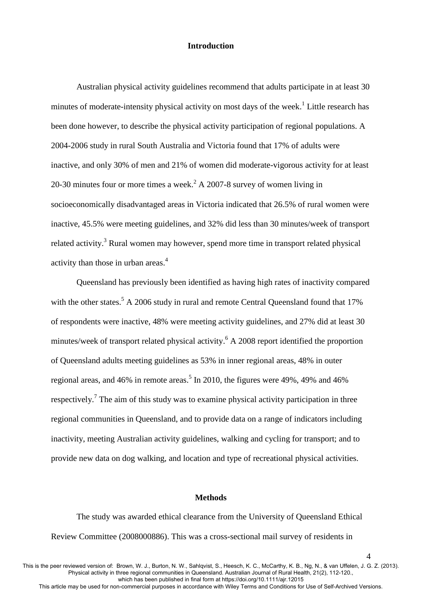### **Introduction**

Australian physical activity guidelines recommend that adults participate in at least 30 minutes of moderate-intensity physical activity on most days of the week.<sup>[1](#page-14-0)</sup> Little research has been done however, to describe the physical activity participation of regional populations. A 2004-2006 study in rural South Australia and Victoria found that 17% of adults were inactive, and only 30% of men and 21% of women did moderate-vigorous activity for at least [2](#page-14-1)0-30 minutes four or more times a week.<sup>2</sup> A 2007-8 survey of women living in socioeconomically disadvantaged areas in Victoria indicated that 26.5% of rural women were inactive, 45.5% were meeting guidelines, and 32% did less than 30 minutes/week of transport related activity[.](#page-14-2)<sup>3</sup> Rural women may however, spend more time in transport related physical activity than those in urban areas[.](#page-14-3)<sup>4</sup>

Queensland has previously been identified as having high rates of inactivity compared with the other states.<sup>[5](#page-14-4)</sup> A 2006 study in rural and remote Central Queensland found that  $17\%$ of respondents were inactive, 48% were meeting activity guidelines, and 27% did at least 30 minutes/week of transport related physical activity.<sup>[6](#page-14-5)</sup> A 2008 report identified the proportion of Queensland adults meeting guidelines as 53% in inner regional areas, 48% in outer regional areas, and 46% in remote areas[.](#page-14-4)<sup>5</sup> In 2010, the figures were 49%, 49% and 46% respectively.<sup>[7](#page-14-6)</sup> The aim of this study was to examine physical activity participation in three regional communities in Queensland, and to provide data on a range of indicators including inactivity, meeting Australian activity guidelines, walking and cycling for transport; and to provide new data on dog walking, and location and type of recreational physical activities.

#### **Methods**

The study was awarded ethical clearance from the University of Queensland Ethical Review Committee (2008000886). This was a cross-sectional mail survey of residents in

This article may be used for non-commercial purposes in accordance with Wiley Terms and Conditions for Use of Self-Archived Versions.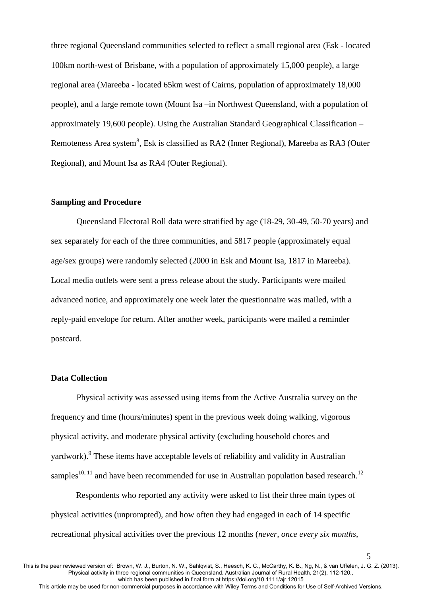three regional Queensland communities selected to reflect a small regional area (Esk - located 100km north-west of Brisbane, with a population of approximately 15,000 people), a large regional area (Mareeba - located 65km west of Cairns, population of approximately 18,000 people), and a large remote town (Mount Isa –in Northwest Queensland, with a population of approximately 19,600 people). Using the Australian Standard Geographical Classification – Re[m](#page-14-7)oteness Area system $^8$ , Esk is classified as RA2 (Inner Regional), Mareeba as RA3 (Outer Regional), and Mount Isa as RA4 (Outer Regional).

### **Sampling and Procedure**

Queensland Electoral Roll data were stratified by age (18-29, 30-49, 50-70 years) and sex separately for each of the three communities, and 5817 people (approximately equal age/sex groups) were randomly selected (2000 in Esk and Mount Isa, 1817 in Mareeba). Local media outlets were sent a press release about the study. Participants were mailed advanced notice, and approximately one week later the questionnaire was mailed, with a reply-paid envelope for return. After another week, participants were mailed a reminder postcard.

### **Data Collection**

Physical activity was assessed using items from the Active Australia survey on the frequency and time (hours/minutes) spent in the previous week doing walking, vigorous physical activity, and moderate physical activity (excluding household chores and yardwork). <sup>[9](#page-15-0)</sup> These items have acceptable levels of reliability and validity in Australian samples<sup>[10,](#page-15-1) [11](#page-15-2)</sup> and have been recommended for use in Australian population based research.<sup>[12](#page-15-3)</sup>

Respondents who reported any activity were asked to list their three main types of physical activities (unprompted), and how often they had engaged in each of 14 specific recreational physical activities over the previous 12 months (*never, once every six months,* 

5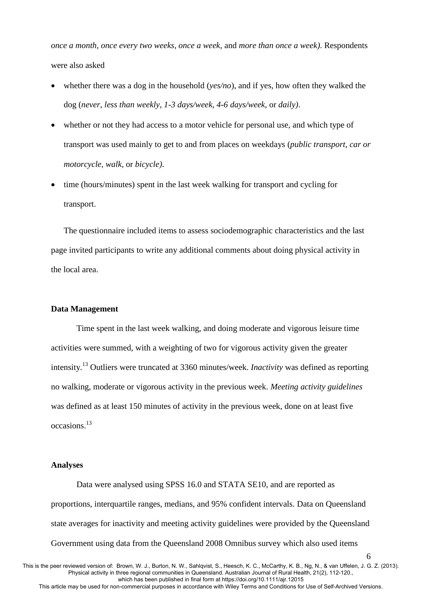*once a month, once every two weeks, once a week*, and *more than once a week)*. Respondents were also asked

- whether there was a dog in the household (*yes/no*), and if yes, how often they walked the dog (*never, less than weekly, 1-3 days/week, 4-6 days/week*, or *daily)*.
- whether or not they had access to a motor vehicle for personal use, and which type of transport was used mainly to get to and from places on weekdays (*public transport, car or motorcycle, walk*, or *bicycle)*.
- time (hours/minutes) spent in the last week walking for transport and cycling for transport.

The questionnaire included items to assess sociodemographic characteristics and the last page invited participants to write any additional comments about doing physical activity in the local area.

### **Data Management**

Time spent in the last week walking, and doing moderate and vigorous leisure time activities were summed, with a weighting of two for vigorous activity given the greater intensity.[13](#page-15-4) Outliers were truncated at 3360 minutes/week. *Inactivity* was defined as reporting no walking, moderate or vigorous activity in the previous week. *Meeting activity guidelines* was defined as at least 150 minutes of activity in the previous week, done on at least five occasions.[13](#page-15-4)

#### **Analyses**

Data were analysed using SPSS 16.0 and STATA SE10, and are reported as proportions, interquartile ranges, medians, and 95% confident intervals. Data on Queensland state averages for inactivity and meeting activity guidelines were provided by the Queensland Government using data from the Queensland 2008 Omnibus survey which also used items

This is the peer reviewed version of: Brown, W. J., Burton, N. W., Sahlqvist, S., Heesch, K. C., McCarthy, K. B., Ng, N., & van Uffelen, J. G. Z. (2013). Physical activity in three regional communities in Queensland. Australian Journal of Rural Health, 21(2), 112-120., which has been published in final form at https://doi.org/10.1111/ajr.12015

This article may be used for non-commercial purposes in accordance with Wiley Terms and Conditions for Use of Self-Archived Versions.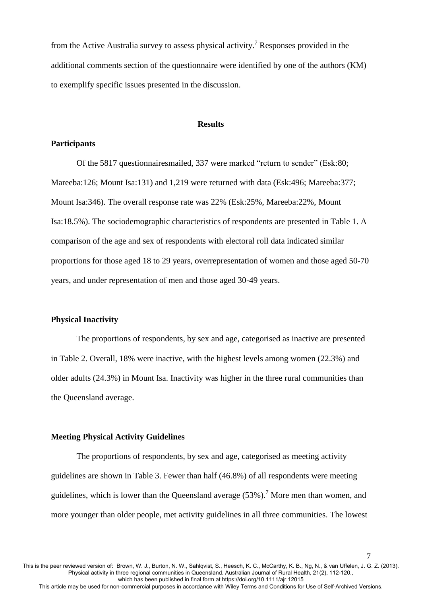from the Active Australia survey to assess physical activity[.](#page-14-6)<sup>7</sup> Responses provided in the additional comments section of the questionnaire were identified by one of the authors (KM) to exemplify specific issues presented in the discussion.

### **Results**

## **Participants**

Of the 5817 questionnairesmailed, 337 were marked "return to sender" (Esk:80; Mareeba:126; Mount Isa:131) and 1,219 were returned with data (Esk:496; Mareeba:377; Mount Isa:346). The overall response rate was 22% (Esk:25%, Mareeba:22%, Mount Isa:18.5%). The sociodemographic characteristics of respondents are presented in Table 1. A comparison of the age and sex of respondents with electoral roll data indicated similar proportions for those aged 18 to 29 years, overrepresentation of women and those aged 50-70 years, and under representation of men and those aged 30-49 years.

#### **Physical Inactivity**

The proportions of respondents, by sex and age, categorised as inactive are presented in Table 2. Overall, 18% were inactive, with the highest levels among women (22.3%) and older adults (24.3%) in Mount Isa. Inactivity was higher in the three rural communities than the Queensland average.

#### **Meeting Physical Activity Guidelines**

The proportions of respondents, by sex and age, categorised as meeting activity guidelines are shown in Table 3. Fewer than half (46.8%) of all respondents were meeting guidelines, which is lower than the Queensland average  $(53\%)$ .<sup>[7](#page-14-6)</sup> More men than women, and more younger than older people, met activity guidelines in all three communities. The lowest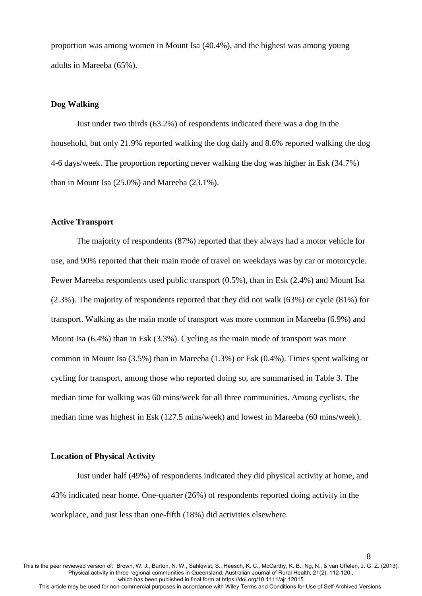proportion was among women in Mount Isa (40.4%), and the highest was among young adults in Mareeba (65%).

### **Dog Walking**

Just under two thirds (63.2%) of respondents indicated there was a dog in the household, but only 21.9% reported walking the dog daily and 8.6% reported walking the dog 4-6 days/week. The proportion reporting never walking the dog was higher in Esk (34.7%) than in Mount Isa (25.0%) and Mareeba (23.1%).

#### **Active Transport**

The majority of respondents (87%) reported that they always had a motor vehicle for use, and 90% reported that their main mode of travel on weekdays was by car or motorcycle. Fewer Mareeba respondents used public transport (0.5%), than in Esk (2.4%) and Mount Isa (2.3%). The majority of respondents reported that they did not walk (63%) or cycle (81%) for transport. Walking as the main mode of transport was more common in Mareeba (6.9%) and Mount Isa (6.4%) than in Esk (3.3%). Cycling as the main mode of transport was more common in Mount Isa (3.5%) than in Mareeba (1.3%) or Esk (0.4%). Times spent walking or cycling for transport, among those who reported doing so, are summarised in Table 3. The median time for walking was 60 mins/week for all three communities. Among cyclists, the median time was highest in Esk (127.5 mins/week) and lowest in Mareeba (60 mins/week).

### **Location of Physical Activity**

Just under half (49%) of respondents indicated they did physical activity at home, and 43% indicated near home. One-quarter (26%) of respondents reported doing activity in the workplace, and just less than one-fifth (18%) did activities elsewhere.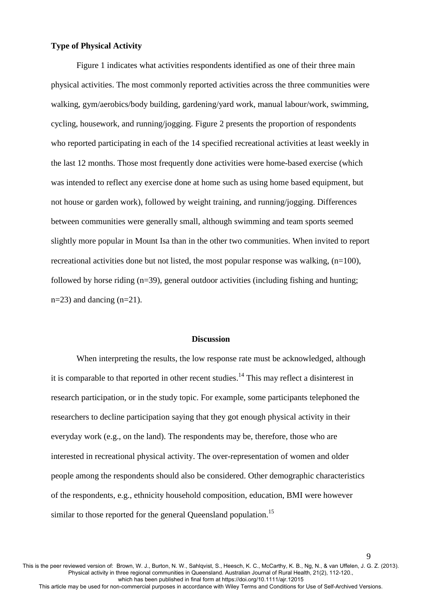### **Type of Physical Activity**

 Figure 1 indicates what activities respondents identified as one of their three main physical activities. The most commonly reported activities across the three communities were walking, gym/aerobics/body building, gardening/yard work, manual labour/work, swimming, cycling, housework, and running/jogging. Figure 2 presents the proportion of respondents who reported participating in each of the 14 specified recreational activities at least weekly in the last 12 months. Those most frequently done activities were home-based exercise (which was intended to reflect any exercise done at home such as using home based equipment, but not house or garden work), followed by weight training, and running/jogging. Differences between communities were generally small, although swimming and team sports seemed slightly more popular in Mount Isa than in the other two communities. When invited to report recreational activities done but not listed, the most popular response was walking,  $(n=100)$ , followed by horse riding (n=39), general outdoor activities (including fishing and hunting;  $n=23$ ) and dancing  $(n=21)$ .

### **Discussion**

When interpreting the results, the low response rate must be acknowledged, although it is comparable to that reported in other recent studies.<sup>[14](#page-15-5)</sup> This may reflect a disinterest in research participation, or in the study topic. For example, some participants telephoned the researchers to decline participation saying that they got enough physical activity in their everyday work (e.g., on the land). The respondents may be, therefore, those who are interested in recreational physical activity. The over-representation of women and older people among the respondents should also be considered. Other demographic characteristics of the respondents, e.g., ethnicity household composition, education, BMI were however similar to those reported for the general Queensland population.<sup>[15](#page-15-6)</sup>

This is the peer reviewed version of: Brown, W. J., Burton, N. W., Sahlqvist, S., Heesch, K. C., McCarthy, K. B., Ng, N., & van Uffelen, J. G. Z. (2013). Physical activity in three regional communities in Queensland. Australian Journal of Rural Health, 21(2), 112-120., which has been published in final form at https://doi.org/10.1111/ajr.12015

9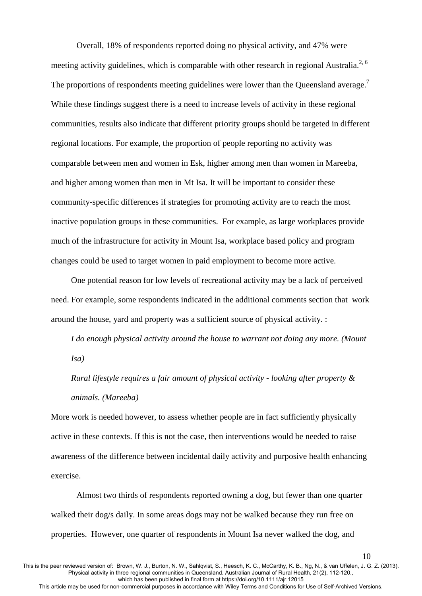Overall, 18% of respondents reported doing no physical activity, and 47% were meeting activity guidelines, which is comparable with other research in regional Australia.<sup>[2,](#page-14-1) [6](#page-14-5)</sup> The proportions of respondents meeting guidelines were lower than the Queensland average.<sup>[7](#page-14-6)</sup> While these findings suggest there is a need to increase levels of activity in these regional communities, results also indicate that different priority groups should be targeted in different regional locations. For example, the proportion of people reporting no activity was comparable between men and women in Esk, higher among men than women in Mareeba, and higher among women than men in Mt Isa. It will be important to consider these community-specific differences if strategies for promoting activity are to reach the most inactive population groups in these communities. For example, as large workplaces provide much of the infrastructure for activity in Mount Isa, workplace based policy and program changes could be used to target women in paid employment to become more active.

One potential reason for low levels of recreational activity may be a lack of perceived need. For example, some respondents indicated in the additional comments section that work around the house, yard and property was a sufficient source of physical activity. :

*I do enough physical activity around the house to warrant not doing any more. (Mount Isa)* 

*Rural lifestyle requires a fair amount of physical activity - looking after property & animals. (Mareeba)* 

More work is needed however, to assess whether people are in fact sufficiently physically active in these contexts. If this is not the case, then interventions would be needed to raise awareness of the difference between incidental daily activity and purposive health enhancing exercise.

Almost two thirds of respondents reported owning a dog, but fewer than one quarter walked their dog/s daily. In some areas dogs may not be walked because they run free on properties. However, one quarter of respondents in Mount Isa never walked the dog, and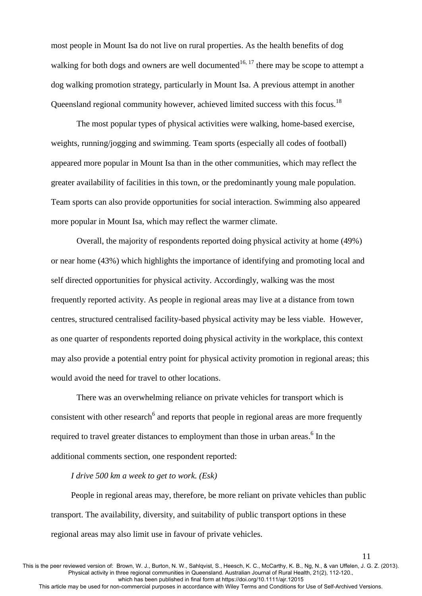most people in Mount Isa do not live on rural properties. As the health benefits of dog walking for both dogs and owners are well documented<sup>[16,](#page-15-7) [17](#page-15-8)</sup> there may be scope to attempt a dog walking promotion strategy, particularly in Mount Isa. A previous attempt in another Queensland regional community however, achieved limited success with this focus.<sup>[18](#page-16-0)</sup>

 The most popular types of physical activities were walking, home-based exercise, weights, running/jogging and swimming. Team sports (especially all codes of football) appeared more popular in Mount Isa than in the other communities, which may reflect the greater availability of facilities in this town, or the predominantly young male population. Team sports can also provide opportunities for social interaction. Swimming also appeared more popular in Mount Isa, which may reflect the warmer climate.

Overall, the majority of respondents reported doing physical activity at home (49%) or near home (43%) which highlights the importance of identifying and promoting local and self directed opportunities for physical activity. Accordingly, walking was the most frequently reported activity. As people in regional areas may live at a distance from town centres, structured centralised facility-based physical activity may be less viable. However, as one quarter of respondents reported doing physical activity in the workplace, this context may also provide a potential entry point for physical activity promotion in regional areas; this would avoid the need for travel to other locations.

There was an overwhelming reliance on private vehicles for transport which is consistent with other research<sup>[6](#page-14-5)</sup> and reports that people in regional areas are more frequently required to travel greater distances to employment than those in urban areas[.](#page-14-5)<sup>6</sup> In the additional comments section, one respondent reported:

## *I drive 500 km a week to get to work. (Esk)*

People in regional areas may, therefore, be more reliant on private vehicles than public transport. The availability, diversity, and suitability of public transport options in these regional areas may also limit use in favour of private vehicles.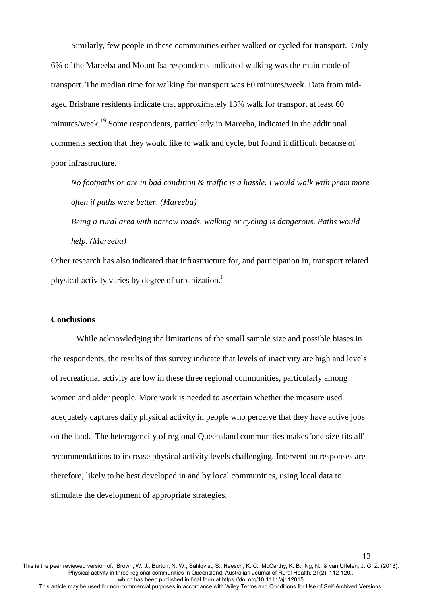Similarly, few people in these communities either walked or cycled for transport. Only 6% of the Mareeba and Mount Isa respondents indicated walking was the main mode of transport. The median time for walking for transport was 60 minutes/week. Data from midaged Brisbane residents indicate that approximately 13% walk for transport at least 60 minutes/week.[19](#page-16-1) Some respondents, particularly in Mareeba, indicated in the additional comments section that they would like to walk and cycle, but found it difficult because of poor infrastructure.

*No footpaths or are in bad condition & traffic is a hassle. I would walk with pram more often if paths were better. (Mareeba)* 

*Being a rural area with narrow roads, walking or cycling is dangerous. Paths would help. (Mareeba)* 

Other research has also indicated that infrastructure for, and participation in, transport related physical activity varies by degree of urbanization[.](#page-14-5)<sup>6</sup>

#### **Conclusions**

While acknowledging the limitations of the small sample size and possible biases in the respondents, the results of this survey indicate that levels of inactivity are high and levels of recreational activity are low in these three regional communities, particularly among women and older people. More work is needed to ascertain whether the measure used adequately captures daily physical activity in people who perceive that they have active jobs on the land. The heterogeneity of regional Queensland communities makes 'one size fits all' recommendations to increase physical activity levels challenging. Intervention responses are therefore, likely to be best developed in and by local communities, using local data to stimulate the development of appropriate strategies.

This is the peer reviewed version of: Brown, W. J., Burton, N. W., Sahlqvist, S., Heesch, K. C., McCarthy, K. B., Ng, N., & van Uffelen, J. G. Z. (2013). Physical activity in three regional communities in Queensland. Australian Journal of Rural Health, 21(2), 112-120., which has been published in final form at https://doi.org/10.1111/ajr.12015 This article may be used for non-commercial purposes in accordance with Wiley Terms and Conditions for Use of Self-Archived Versions.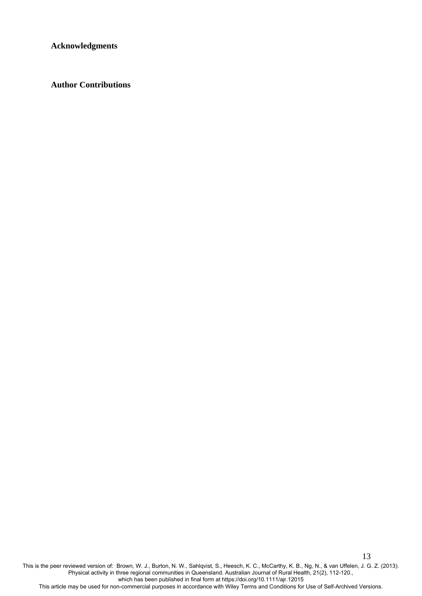**Acknowledgments**

**Author Contributions** 

This is the peer reviewed version of: Brown, W. J., Burton, N. W., Sahlqvist, S., Heesch, K. C., McCarthy, K. B., Ng, N., & van Uffelen, J. G. Z. (2013). Physical activity in three regional communities in Queensland. Australian Journal of Rural Health, 21(2), 112-120., which has been published in final form at https://doi.org/10.1111/ajr.12015

13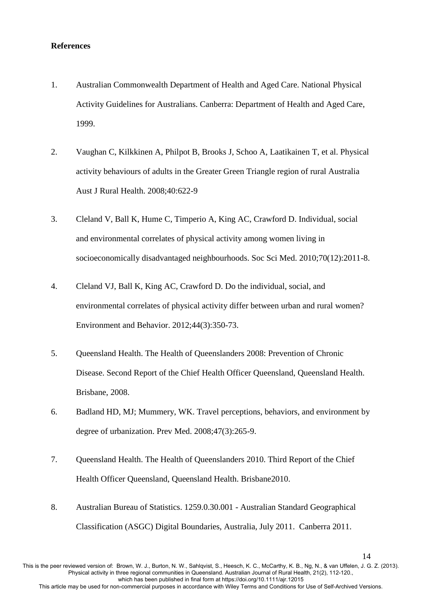#### **References**

- <span id="page-14-0"></span>1. Australian Commonwealth Department of Health and Aged Care. National Physical Activity Guidelines for Australians. Canberra: Department of Health and Aged Care, 1999.
- <span id="page-14-1"></span>2. Vaughan C, Kilkkinen A, Philpot B, Brooks J, Schoo A, Laatikainen T, et al. Physical activity behaviours of adults in the Greater Green Triangle region of rural Australia Aust J Rural Health. 2008;40:622-9
- <span id="page-14-2"></span>3. Cleland V, Ball K, Hume C, Timperio A, King AC, Crawford D. Individual, social and environmental correlates of physical activity among women living in socioeconomically disadvantaged neighbourhoods. Soc Sci Med. 2010;70(12):2011-8.
- <span id="page-14-3"></span>4. Cleland VJ, Ball K, King AC, Crawford D. Do the individual, social, and environmental correlates of physical activity differ between urban and rural women? Environment and Behavior. 2012;44(3):350-73.
- <span id="page-14-4"></span>5. Queensland Health. The Health of Queenslanders 2008: Prevention of Chronic Disease. Second Report of the Chief Health Officer Queensland, Queensland Health. Brisbane, 2008.
- <span id="page-14-5"></span>6. Badland HD, MJ; Mummery, WK. Travel perceptions, behaviors, and environment by degree of urbanization. Prev Med. 2008;47(3):265-9.
- <span id="page-14-6"></span>7. Queensland Health. The Health of Queenslanders 2010. Third Report of the Chief Health Officer Queensland, Queensland Health. Brisbane2010.
- <span id="page-14-7"></span>8. Australian Bureau of Statistics. 1259.0.30.001 - Australian Standard Geographical Classification (ASGC) Digital Boundaries, Australia, July 2011. Canberra 2011.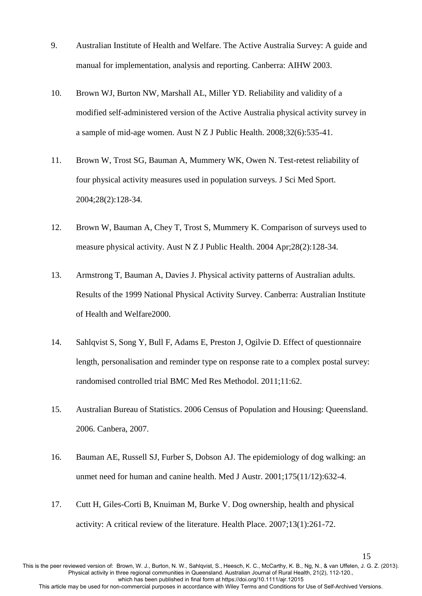- <span id="page-15-0"></span>9. Australian Institute of Health and Welfare. The Active Australia Survey: A guide and manual for implementation, analysis and reporting. Canberra: AIHW 2003.
- <span id="page-15-1"></span>10. Brown WJ, Burton NW, Marshall AL, Miller YD. Reliability and validity of a modified self-administered version of the Active Australia physical activity survey in a sample of mid-age women. Aust N Z J Public Health. 2008;32(6):535-41.
- <span id="page-15-2"></span>11. Brown W, Trost SG, Bauman A, Mummery WK, Owen N. Test-retest reliability of four physical activity measures used in population surveys. J Sci Med Sport. 2004;28(2):128-34.
- <span id="page-15-3"></span>12. Brown W, Bauman A, Chey T, Trost S, Mummery K. Comparison of surveys used to measure physical activity. Aust N Z J Public Health. 2004 Apr;28(2):128-34.
- <span id="page-15-4"></span>13. Armstrong T, Bauman A, Davies J. Physical activity patterns of Australian adults. Results of the 1999 National Physical Activity Survey. Canberra: Australian Institute of Health and Welfare2000.
- <span id="page-15-5"></span>14. Sahlqvist S, Song Y, Bull F, Adams E, Preston J, Ogilvie D. Effect of questionnaire length, personalisation and reminder type on response rate to a complex postal survey: randomised controlled trial BMC Med Res Methodol. 2011;11:62.
- <span id="page-15-6"></span>15. Australian Bureau of Statistics. 2006 Census of Population and Housing: Queensland. 2006. Canbera, 2007.
- <span id="page-15-7"></span>16. Bauman AE, Russell SJ, Furber S, Dobson AJ. The epidemiology of dog walking: an unmet need for human and canine health. Med J Austr. 2001;175(11/12):632-4.
- <span id="page-15-8"></span>17. Cutt H, Giles-Corti B, Knuiman M, Burke V. Dog ownership, health and physical activity: A critical review of the literature. Health Place. 2007;13(1):261-72.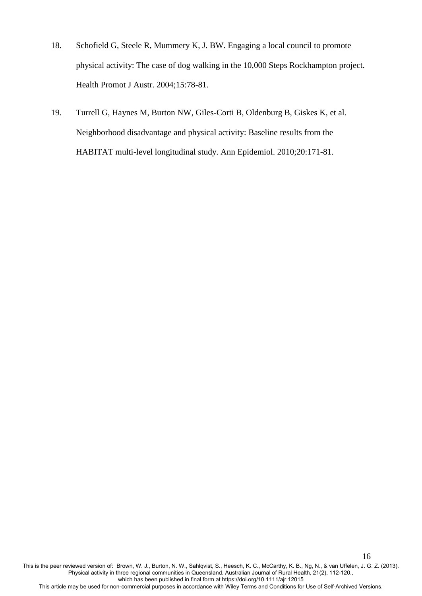- <span id="page-16-0"></span>18. Schofield G, Steele R, Mummery K, J. BW. Engaging a local council to promote physical activity: The case of dog walking in the 10,000 Steps Rockhampton project. Health Promot J Austr. 2004;15:78-81.
- <span id="page-16-1"></span>19. Turrell G, Haynes M, Burton NW, Giles-Corti B, Oldenburg B, Giskes K, et al. Neighborhood disadvantage and physical activity: Baseline results from the HABITAT multi-level longitudinal study. Ann Epidemiol. 2010;20:171-81.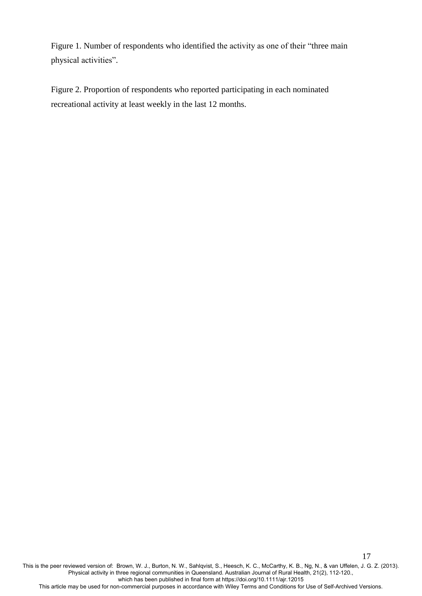Figure 1. Number of respondents who identified the activity as one of their "three main physical activities".

Figure 2. Proportion of respondents who reported participating in each nominated recreational activity at least weekly in the last 12 months.

This is the peer reviewed version of: Brown, W. J., Burton, N. W., Sahlqvist, S., Heesch, K. C., McCarthy, K. B., Ng, N., & van Uffelen, J. G. Z. (2013). Physical activity in three regional communities in Queensland. Australian Journal of Rural Health, 21(2), 112-120., which has been published in final form at https://doi.org/10.1111/ajr.12015

17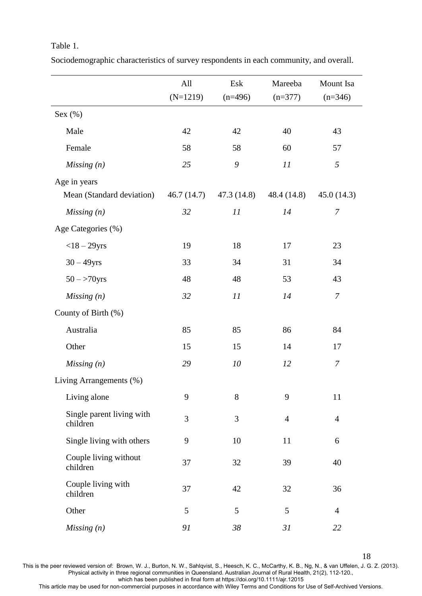## Table 1.

|                                       | All<br>$(N=1219)$ | Esk<br>$(n=496)$ | Mareeba<br>$(n=377)$ | Mount Isa<br>$(n=346)$ |
|---------------------------------------|-------------------|------------------|----------------------|------------------------|
|                                       |                   |                  |                      |                        |
| Sex $(\%)$                            |                   |                  |                      |                        |
| Male                                  | 42                | 42               | 40                   | 43                     |
| Female                                | 58                | 58               | 60                   | 57                     |
| Missing(n)                            | 25                | 9                | 11                   | 5                      |
| Age in years                          |                   |                  |                      |                        |
| Mean (Standard deviation)             | 46.7 (14.7)       | 47.3(14.8)       | 48.4 (14.8)          | 45.0(14.3)             |
| Missing(n)                            | 32                | 11               | 14                   | $\overline{7}$         |
| Age Categories (%)                    |                   |                  |                      |                        |
| $<$ 18 - 29yrs                        | 19                | 18               | 17                   | 23                     |
| $30 - 49$ yrs                         | 33                | 34               | 31                   | 34                     |
| $50 - >70$ yrs                        | 48                | 48               | 53                   | 43                     |
| Missing(n)                            | 32                | 11               | 14                   | $\overline{7}$         |
| County of Birth (%)                   |                   |                  |                      |                        |
| Australia                             | 85                | 85               | 86                   | 84                     |
| Other                                 | 15                | 15               | 14                   | 17                     |
| Missing(n)                            | 29                | 10               | 12                   | $\overline{7}$         |
| Living Arrangements (%)               |                   |                  |                      |                        |
| Living alone                          | 9                 | 8                | 9                    | 11                     |
| Single parent living with<br>children | 3                 | 3                | $\overline{4}$       | $\overline{4}$         |
| Single living with others             | 9                 | 10               | 11                   | 6                      |
| Couple living without<br>children     | 37                | 32               | 39                   | 40                     |
| Couple living with<br>children        | 37                | 42               | 32                   | 36                     |
| Other                                 | 5                 | 5                | 5                    | $\overline{4}$         |
| Missing(n)                            | 91                | 38               | 31                   | 22                     |

Sociodemographic characteristics of survey respondents in each community, and overall.

18

This is the peer reviewed version of: Brown, W. J., Burton, N. W., Sahlqvist, S., Heesch, K. C., McCarthy, K. B., Ng, N., & van Uffelen, J. G. Z. (2013). Physical activity in three regional communities in Queensland. Australian Journal of Rural Health, 21(2), 112-120., which has been published in final form at https://doi.org/10.1111/ajr.12015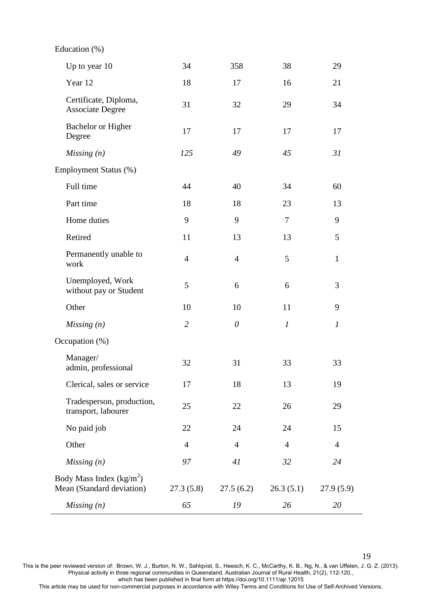Education (%)

| Up to year 10                                          | 34             | 358            | 38               | 29               |
|--------------------------------------------------------|----------------|----------------|------------------|------------------|
| Year 12                                                | 18             | 17             | 16               | 21               |
| Certificate, Diploma,<br><b>Associate Degree</b>       | 31             | 32             | 29               | 34               |
| Bachelor or Higher<br>Degree                           | 17             | 17             | 17               | 17               |
| Missing(n)                                             | 125            | 49             | 45               | 31               |
| Employment Status (%)                                  |                |                |                  |                  |
| Full time                                              | 44             | 40             | 34               | 60               |
| Part time                                              | 18             | 18             | 23               | 13               |
| Home duties                                            | 9              | 9              | 7                | 9                |
| Retired                                                | 11             | 13             | 13               | 5                |
| Permanently unable to<br>work                          | $\overline{4}$ | $\overline{4}$ | 5                | $\mathbf{1}$     |
| Unemployed, Work<br>without pay or Student             | 5              | 6              | 6                | 3                |
| Other                                                  | 10             | 10             | 11               | 9                |
| Missing(n)                                             | $\overline{2}$ | $\theta$       | $\boldsymbol{l}$ | $\boldsymbol{l}$ |
| Occupation (%)                                         |                |                |                  |                  |
| Manager/<br>admin, professional                        | 32             | 31             | 33               | 33               |
| Clerical, sales or service                             | 17             | 18             | 13               | 19               |
| Tradesperson, production,<br>transport, labourer       | 25             | 22             | 26               | 29               |
| No paid job                                            | 22             | 24             | 24               | 15               |
| Other                                                  | $\overline{4}$ | $\overline{4}$ | $\overline{4}$   | $\overline{4}$   |
| Missing(n)                                             | 97             | 41             | 32               | 24               |
| Body Mass Index $(kg/m2)$<br>Mean (Standard deviation) | 27.3(5.8)      | 27.5(6.2)      | 26.3(5.1)        | 27.9(5.9)        |
| Missing(n)                                             | 65             | 19             | 26               | 20               |
|                                                        |                |                |                  |                  |

19

This is the peer reviewed version of: Brown, W. J., Burton, N. W., Sahlqvist, S., Heesch, K. C., McCarthy, K. B., Ng, N., & van Uffelen, J. G. Z. (2013). Physical activity in three regional communities in Queensland. Australian Journal of Rural Health, 21(2), 112-120.,

which has been published in final form at https://doi.org/10.1111/ajr.12015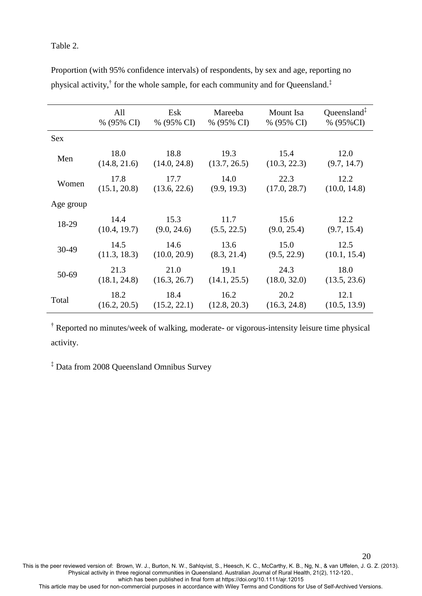## Table 2.

|            | All          | Esk          | Mareeba      | Mount Isa    | Queensland <sup><math>\ddagger</math></sup> |
|------------|--------------|--------------|--------------|--------------|---------------------------------------------|
|            | % (95% CI)   | % (95% CI)   | % (95% CI)   | % (95% CI)   | % (95%CI)                                   |
| <b>Sex</b> |              |              |              |              |                                             |
| Men        | 18.0         | 18.8         | 19.3         | 15.4         | 12.0                                        |
|            | (14.8, 21.6) | (14.0, 24.8) | (13.7, 26.5) | (10.3, 22.3) | (9.7, 14.7)                                 |
| Women      | 17.8         | 17.7         | 14.0         | 22.3         | 12.2                                        |
|            | (15.1, 20.8) | (13.6, 22.6) | (9.9, 19.3)  | (17.0, 28.7) | (10.0, 14.8)                                |
| Age group  |              |              |              |              |                                             |
| 18-29      | 14.4         | 15.3         | 11.7         | 15.6         | 12.2                                        |
|            | (10.4, 19.7) | (9.0, 24.6)  | (5.5, 22.5)  | (9.0, 25.4)  | (9.7, 15.4)                                 |
| 30-49      | 14.5         | 14.6         | 13.6         | 15.0         | 12.5                                        |
|            | (11.3, 18.3) | (10.0, 20.9) | (8.3, 21.4)  | (9.5, 22.9)  | (10.1, 15.4)                                |
| 50-69      | 21.3         | 21.0         | 19.1         | 24.3         | 18.0                                        |
|            | (18.1, 24.8) | (16.3, 26.7) | (14.1, 25.5) | (18.0, 32.0) | (13.5, 23.6)                                |
| Total      | 18.2         | 18.4         | 16.2         | 20.2         | 12.1                                        |
|            | (16.2, 20.5) | (15.2, 22.1) | (12.8, 20.3) | (16.3, 24.8) | (10.5, 13.9)                                |

Proportion (with 95% confidence intervals) of respondents, by sex and age, reporting no physical activity,<sup>†</sup> for the whole sample, for each community and for Queensland.<sup>‡</sup>

† Reported no minutes/week of walking, moderate- or vigorous-intensity leisure time physical activity.

‡ Data from 2008 Queensland Omnibus Survey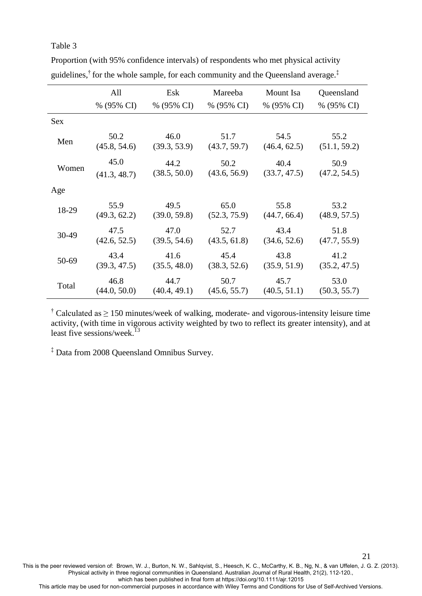## Table 3

|       | All<br>% (95% CI) | Esk<br>% (95% CI) |              | Mareeba<br>Mount Isa<br>% (95% CI)<br>% (95% CI) |              |
|-------|-------------------|-------------------|--------------|--------------------------------------------------|--------------|
| Sex   |                   |                   |              |                                                  | % (95% CI)   |
| Men   | 50.2              | 46.0              | 51.7         | 54.5                                             | 55.2         |
|       | (45.8, 54.6)      | (39.3, 53.9)      | (43.7, 59.7) | (46.4, 62.5)                                     | (51.1, 59.2) |
| Women | 45.0              | 44.2              | 50.2         | 40.4                                             | 50.9         |
|       | (41.3, 48.7)      | (38.5, 50.0)      | (43.6, 56.9) | (33.7, 47.5)                                     | (47.2, 54.5) |
| Age   |                   |                   |              |                                                  |              |
| 18-29 | 55.9              | 49.5              | 65.0         | 55.8                                             | 53.2         |
|       | (49.3, 62.2)      | (39.0, 59.8)      | (52.3, 75.9) | (44.7, 66.4)                                     | (48.9, 57.5) |
| 30-49 | 47.5              | 47.0              | 52.7         | 43.4                                             | 51.8         |
|       | (42.6, 52.5)      | (39.5, 54.6)      | (43.5, 61.8) | (34.6, 52.6)                                     | (47.7, 55.9) |
| 50-69 | 43.4              | 41.6              | 45.4         | 43.8                                             | 41.2         |
|       | (39.3, 47.5)      | (35.5, 48.0)      | (38.3, 52.6) | (35.9, 51.9)                                     | (35.2, 47.5) |
| Total | 46.8              | 44.7              | 50.7         | 45.7                                             | 53.0         |
|       | (44.0, 50.0)      | (40.4, 49.1)      | (45.6, 55.7) | (40.5, 51.1)                                     | (50.3, 55.7) |

Proportion (with 95% confidence intervals) of respondents who met physical activity guidelines,<sup>†</sup> for the whole sample, for each community and the Queensland average.<sup>‡</sup>

<sup>†</sup> Calculated as  $\geq$  150 minutes/week of walking, moderate- and vigorous-intensity leisure time activity, (with time in vigorous activity weighted by two to reflect its greater intensity), and at least five sessions/week.<sup>[13](#page-15-4)</sup>

‡ Data from 2008 Queensland Omnibus Survey.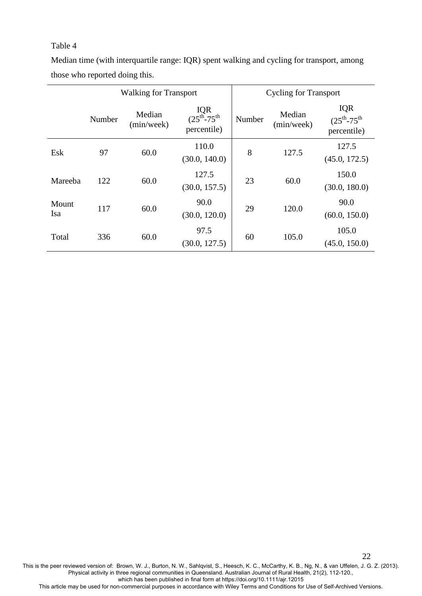## Table 4

Median time (with interquartile range: IQR) spent walking and cycling for transport, among those who reported doing this.

|              | <b>Walking for Transport</b> |                      |                                             | <b>Cycling for Transport</b> |                      |                                                    |
|--------------|------------------------------|----------------------|---------------------------------------------|------------------------------|----------------------|----------------------------------------------------|
|              | Number                       | Median<br>(min/week) | IQR<br>$(25^{th} - 75^{th})$<br>percentile) | Number                       | Median<br>(min/week) | <b>IQR</b><br>$(25^{th} - 75^{th})$<br>percentile) |
| Esk          | 97                           | 60.0                 | 110.0<br>(30.0, 140.0)                      | 8                            | 127.5                | 127.5<br>(45.0, 172.5)                             |
| Mareeba      | 122                          | 60.0                 | 127.5<br>(30.0, 157.5)                      | 23                           | 60.0                 | 150.0<br>(30.0, 180.0)                             |
| Mount<br>Isa | 117                          | 60.0                 | 90.0<br>(30.0, 120.0)                       | 29                           | 120.0                | 90.0<br>(60.0, 150.0)                              |
| Total        | 336                          | 60.0                 | 97.5<br>(30.0, 127.5)                       | 60                           | 105.0                | 105.0<br>(45.0, 150.0)                             |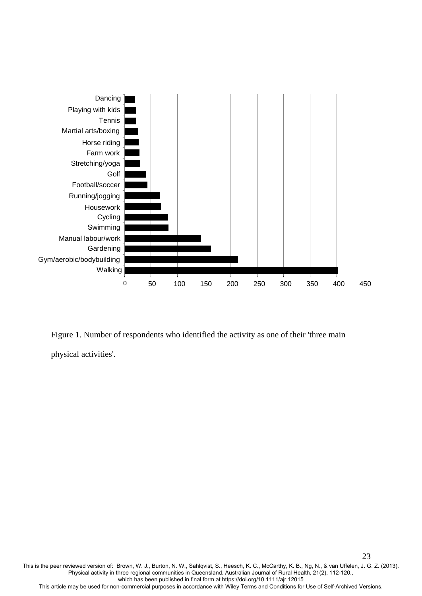

Figure 1. Number of respondents who identified the activity as one of their 'three main physical activities'.

This is the peer reviewed version of: Brown, W. J., Burton, N. W., Sahlqvist, S., Heesch, K. C., McCarthy, K. B., Ng, N., & van Uffelen, J. G. Z. (2013). Physical activity in three regional communities in Queensland. Australian Journal of Rural Health, 21(2), 112-120., which has been published in final form at https://doi.org/10.1111/ajr.12015 This article may be used for non-commercial purposes in accordance with Wiley Terms and Conditions for Use of Self-Archived Versions.